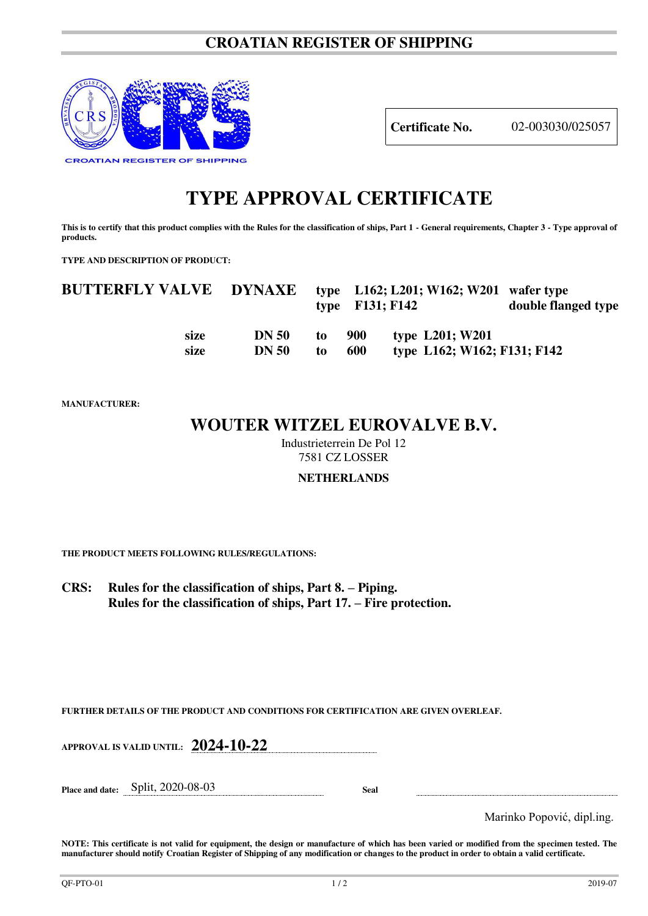### **CROATIAN REGISTER OF SHIPPING**



**Certificate No.** 02-003030/025057

# **TYPE APPROVAL CERTIFICATE**

This is to certify that this product complies with the Rules for the classification of ships, Part 1 - General requirements, Chapter 3 - Type approval of **products.** 

**TYPE AND DESCRIPTION OF PRODUCT:** 

| <b>BUTTERFLY VALVE DYNAXE</b> |              |    | type $F131; F142$ | type $L162$ ; $L201$ ; W162; W201 wafer type | double flanged type |
|-------------------------------|--------------|----|-------------------|----------------------------------------------|---------------------|
| size                          | <b>DN 50</b> | to | 900               | type L201; W201                              |                     |
| size                          | <b>DN 50</b> | to | 600               | type L162; W162; F131; F142                  |                     |

**MANUFACTURER:**

## **WOUTER WITZEL EUROVALVE B.V.**

Industrieterrein De Pol 12 7581 CZ LOSSER

#### **NETHERLANDS**

**THE PRODUCT MEETS FOLLOWING RULES/REGULATIONS:**

**CRS: Rules for the classification of ships, Part 8. – Piping. Rules for the classification of ships, Part 17. – Fire protection.**

**FURTHER DETAILS OF THE PRODUCT AND CONDITIONS FOR CERTIFICATION ARE GIVEN OVERLEAF.**

**APPROVAL IS VALID UNTIL: 2024-10-22**

**Place and date:** Split, 2020-08-03 **Seal** 

Marinko Popović, dipl.ing.

**NOTE: This certificate is not valid for equipment, the design or manufacture of which has been varied or modified from the specimen tested. The manufacturer should notify Croatian Register of Shipping of any modification or changes to the product in order to obtain a valid certificate.**